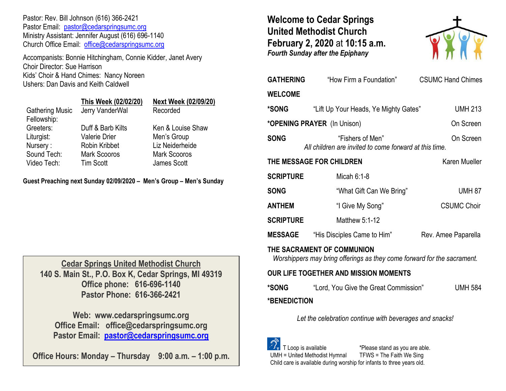Pastor: Rev. Bill Johnson (616) 366-2421 Pastor Email: [pastor@cedarspringsumc.org](mailto:pastor@cedarspringsumc.org) Ministry Assistant: Jennifer August (616) 696-1140 Church Office Email: [office@cedarspringsumc.org](mailto:office@cedarspringsumc.org)

Accompanists: Bonnie Hitchingham, Connie Kidder, Janet Avery Choir Director: Sue Harrison Kids' Choir & Hand Chimes: Nancy Noreen Ushers: Dan Davis and Keith Caldwell

|                        | This Week (02/02/20) | <b>Next Week (02/09/20)</b> |
|------------------------|----------------------|-----------------------------|
| <b>Gathering Music</b> | Jerry VanderWal      | Recorded                    |
| Fellowship:            |                      |                             |
| Greeters:              | Duff & Barb Kilts    | Ken & Louise Shaw           |
| Liturgist:             | <b>Valerie Drier</b> | Men's Group                 |
| Nursery:               | Robin Kribbet        | Liz Neiderheide             |
| Sound Tech:            | <b>Mark Scooros</b>  | <b>Mark Scooros</b>         |
| Video Tech:            | <b>Tim Scott</b>     | James Scott                 |
|                        |                      |                             |

**Guest Preaching next Sunday 02/09/2020 – Men's Group – Men's Sunday**

**Cedar Springs United Methodist Church 140 S. Main St., P.O. Box K, Cedar Springs, MI 49319 Office phone: 616-696-1140 Pastor Phone: 616-366-2421**

**Web: www.cedarspringsumc.org Office Email: office@cedarspringsumc.org Pastor Email: [pastor@cedarspringsumc.org](mailto:pastor@cedarspringsumc.org)**

**Office Hours: Monday – Thursday 9:00 a.m. – 1:00 p.m.**

# **Welcome to Cedar Springs United Methodist Church February 2, 2020** at **10:15 a.m.**  *Fourth Sunday after the Epiphany*



| <b>GATHERING</b>                                                                                      | "How Firm a Foundation"                                                                     | <b>CSUMC Hand Chimes</b> |  |  |  |
|-------------------------------------------------------------------------------------------------------|---------------------------------------------------------------------------------------------|--------------------------|--|--|--|
| <b>WELCOME</b>                                                                                        |                                                                                             |                          |  |  |  |
| *SONG                                                                                                 | "Lift Up Your Heads, Ye Mighty Gates"                                                       | <b>UMH 213</b>           |  |  |  |
| *OPENING PRAYER (In Unison)                                                                           |                                                                                             | On Screen                |  |  |  |
| <b>SONG</b>                                                                                           | "Fishers of Men"<br>All children are invited to come forward at this time.                  | On Screen                |  |  |  |
| THE MESSAGE FOR CHILDREN                                                                              |                                                                                             | Karen Mueller            |  |  |  |
| <b>SCRIPTURE</b>                                                                                      | Micah $6:1-8$                                                                               |                          |  |  |  |
| <b>SONG</b>                                                                                           | "What Gift Can We Bring"                                                                    | <b>UMH 87</b>            |  |  |  |
| <b>ANTHEM</b>                                                                                         | "I Give My Song"                                                                            | <b>CSUMC Choir</b>       |  |  |  |
| <b>SCRIPTURE</b>                                                                                      | Matthew 5:1-12                                                                              |                          |  |  |  |
| <b>MESSAGE</b>                                                                                        | "His Disciples Came to Him"                                                                 | Rev. Amee Paparella      |  |  |  |
| THE SACRAMENT OF COMMUNION<br>Worshippers may bring offerings as they come forward for the sacrament. |                                                                                             |                          |  |  |  |
| <b>OUR LIFE TOGETHER AND MISSION MOMENTS</b>                                                          |                                                                                             |                          |  |  |  |
| *SONG                                                                                                 | "Lord, You Give the Great Commission"                                                       | <b>UMH 584</b>           |  |  |  |
| *BENEDICTION                                                                                          |                                                                                             |                          |  |  |  |
| Let the celebration continue with beverages and snacks!                                               |                                                                                             |                          |  |  |  |
| T Loop is available                                                                                   | *Please stand as you are able.<br>TFWS = The Faith We Sing<br>UMH = United Methodist Hymnal |                          |  |  |  |

Child care is available during worship for infants to three years old.